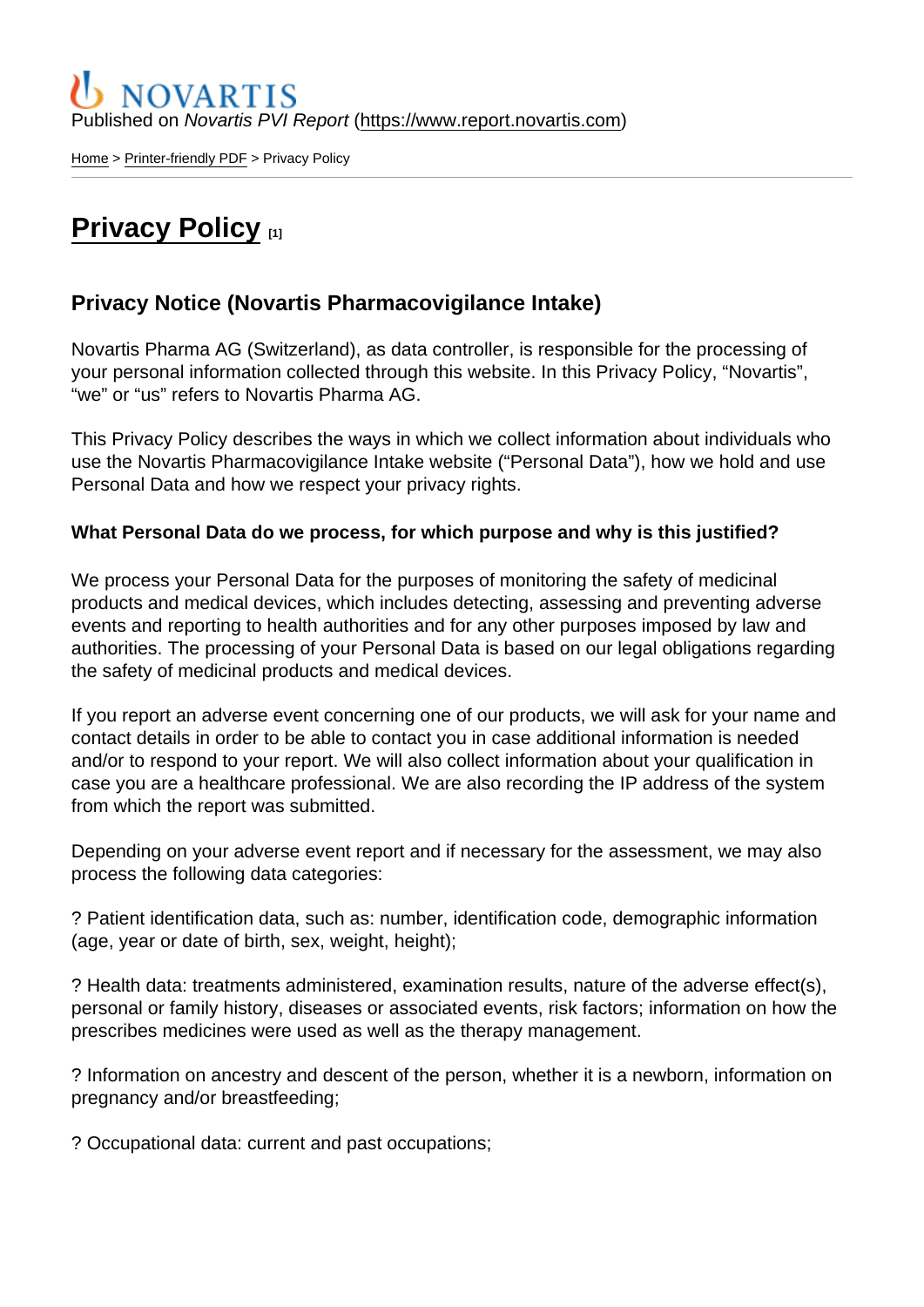Published on Novartis PVI Report [\(https://www.report.novartis.com](https://www.report.novartis.com))

[Home](https://www.report.novartis.com/en) > [Printer-friendly PDF](https://www.report.novartis.com/en/printpdf) > Privacy Policy

# [Privacy Policy](https://www.report.novartis.com/en/privacy-policy) [1]

### Privacy Notice (Novartis Pharmacovigilance Intake)

Novartis Pharma AG (Switzerland), as data controller, is responsible for the processing of your personal information collected through this website. In this Privacy Policy, "Novartis", "we" or "us" refers to Novartis Pharma AG.

This Privacy Policy describes the ways in which we collect information about individuals who use the Novartis Pharmacovigilance Intake website ("Personal Data"), how we hold and use Personal Data and how we respect your privacy rights.

What Personal Data do we process, for which purpose and why is this justified?

We process your Personal Data for the purposes of monitoring the safety of medicinal products and medical devices, which includes detecting, assessing and preventing adverse events and reporting to health authorities and for any other purposes imposed by law and authorities. The processing of your Personal Data is based on our legal obligations regarding the safety of medicinal products and medical devices.

If you report an adverse event concerning one of our products, we will ask for your name and contact details in order to be able to contact you in case additional information is needed and/or to respond to your report. We will also collect information about your qualification in case you are a healthcare professional. We are also recording the IP address of the system from which the report was submitted.

Depending on your adverse event report and if necessary for the assessment, we may also process the following data categories:

? Patient identification data, such as: number, identification code, demographic information (age, year or date of birth, sex, weight, height);

? Health data: treatments administered, examination results, nature of the adverse effect(s), personal or family history, diseases or associated events, risk factors; information on how the prescribes medicines were used as well as the therapy management.

? Information on ancestry and descent of the person, whether it is a newborn, information on pregnancy and/or breastfeeding;

? Occupational data: current and past occupations;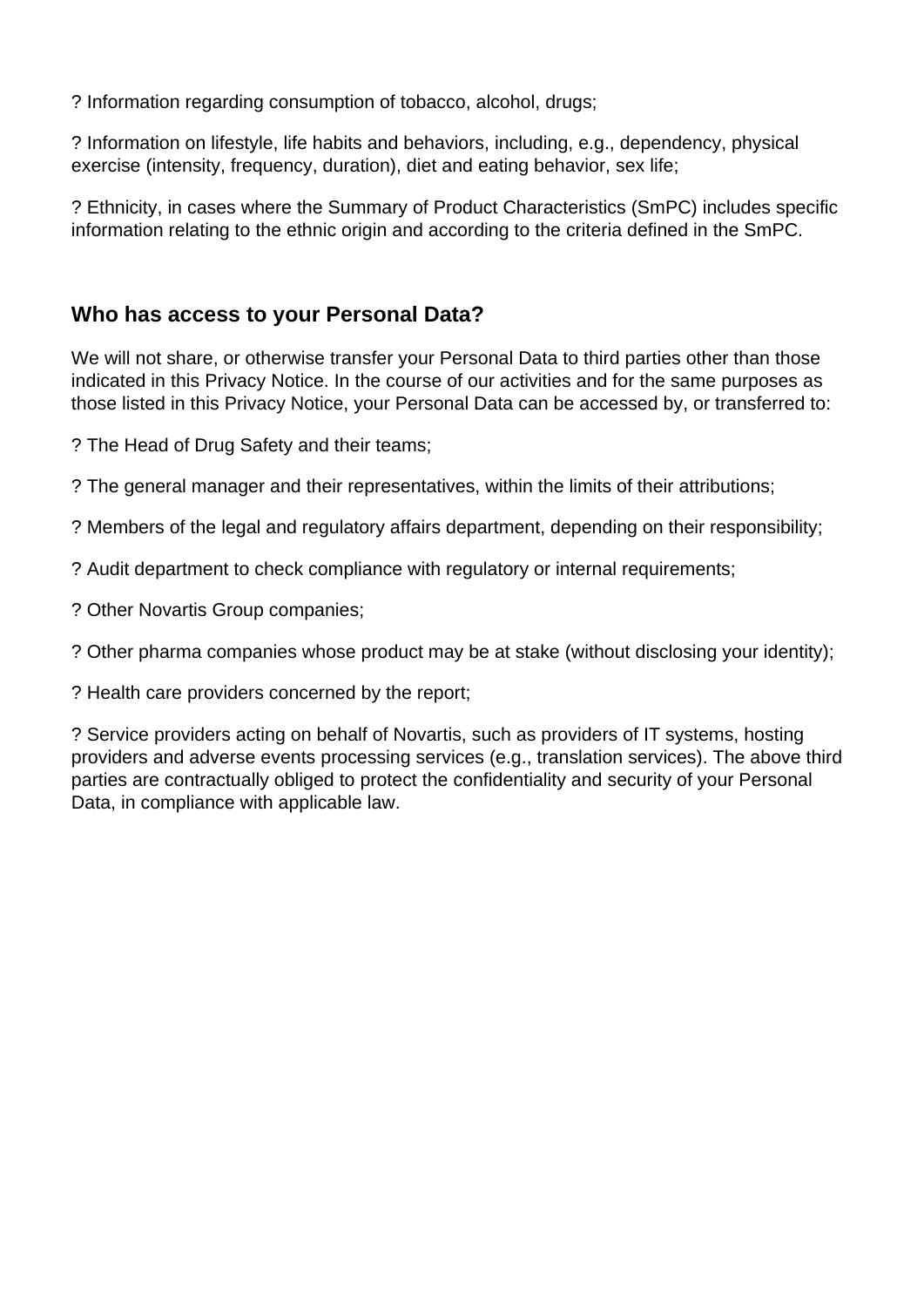? Information regarding consumption of tobacco, alcohol, drugs;

? Information on lifestyle, life habits and behaviors, including, e.g., dependency, physical exercise (intensity, frequency, duration), diet and eating behavior, sex life;

? Ethnicity, in cases where the Summary of Product Characteristics (SmPC) includes specific information relating to the ethnic origin and according to the criteria defined in the SmPC.

## **Who has access to your Personal Data?**

We will not share, or otherwise transfer your Personal Data to third parties other than those indicated in this Privacy Notice. In the course of our activities and for the same purposes as those listed in this Privacy Notice, your Personal Data can be accessed by, or transferred to:

? The Head of Drug Safety and their teams;

? The general manager and their representatives, within the limits of their attributions;

? Members of the legal and regulatory affairs department, depending on their responsibility;

? Audit department to check compliance with regulatory or internal requirements;

? Other Novartis Group companies;

? Other pharma companies whose product may be at stake (without disclosing your identity);

? Health care providers concerned by the report;

? Service providers acting on behalf of Novartis, such as providers of IT systems, hosting providers and adverse events processing services (e.g., translation services). The above third parties are contractually obliged to protect the confidentiality and security of your Personal Data, in compliance with applicable law.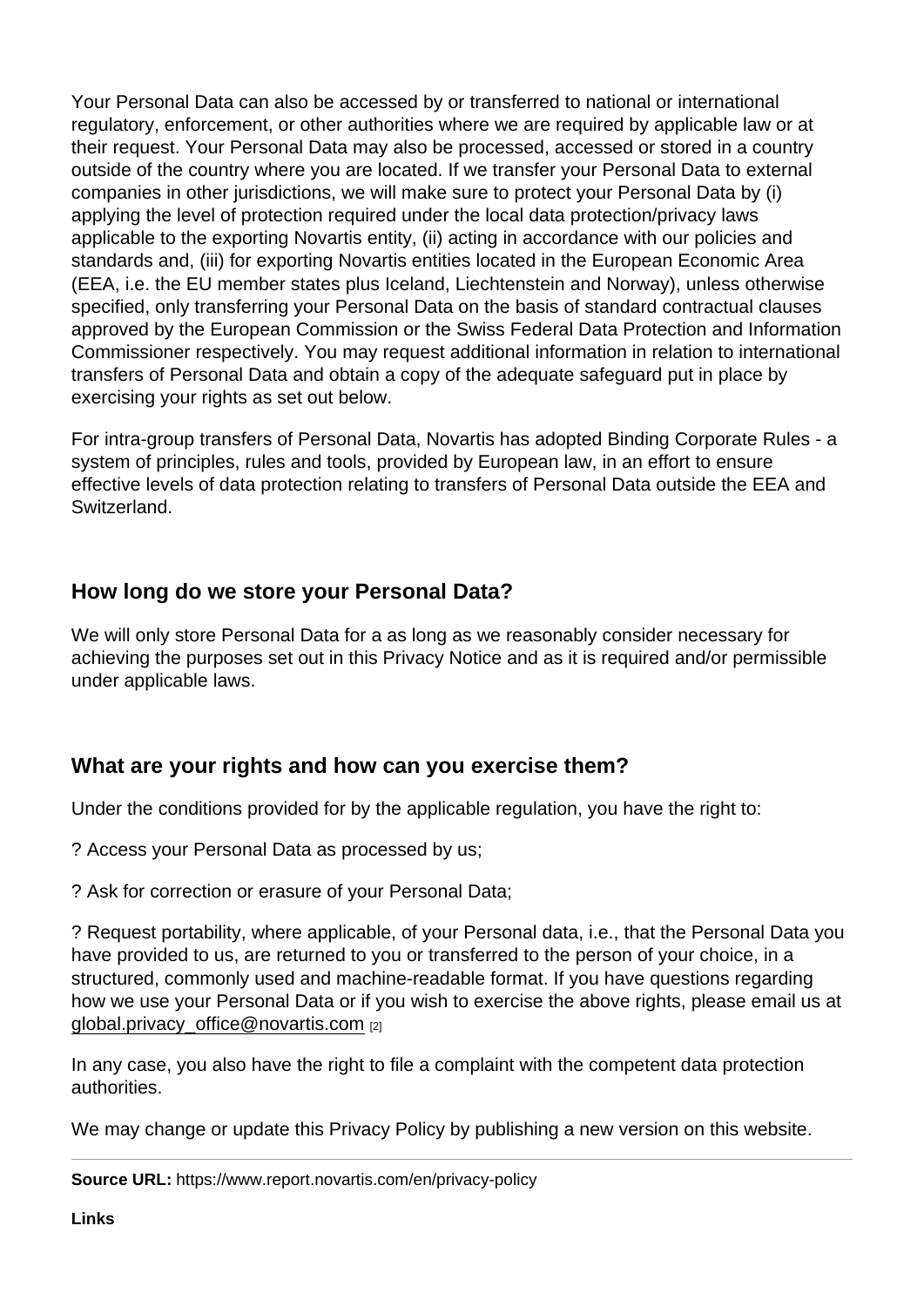Your Personal Data can also be accessed by or transferred to national or international regulatory, enforcement, or other authorities where we are required by applicable law or at their request. Your Personal Data may also be processed, accessed or stored in a country outside of the country where you are located. If we transfer your Personal Data to external companies in other jurisdictions, we will make sure to protect your Personal Data by (i) applying the level of protection required under the local data protection/privacy laws applicable to the exporting Novartis entity, (ii) acting in accordance with our policies and standards and, (iii) for exporting Novartis entities located in the European Economic Area (EEA, i.e. the EU member states plus Iceland, Liechtenstein and Norway), unless otherwise specified, only transferring your Personal Data on the basis of standard contractual clauses approved by the European Commission or the Swiss Federal Data Protection and Information Commissioner respectively. You may request additional information in relation to international transfers of Personal Data and obtain a copy of the adequate safeguard put in place by exercising your rights as set out below.

For intra-group transfers of Personal Data, Novartis has adopted Binding Corporate Rules - a system of principles, rules and tools, provided by European law, in an effort to ensure effective levels of data protection relating to transfers of Personal Data outside the EEA and Switzerland.

## How long do we store your Personal Data?

We will only store Personal Data for a as long as we reasonably consider necessary for achieving the purposes set out in this Privacy Notice and as it is required and/or permissible under applicable laws.

### What are your rights and how can you exercise them?

Under the conditions provided for by the applicable regulation, you have the right to:

? Access your Personal Data as processed by us;

? Ask for correction or erasure of your Personal Data;

? Request portability, where applicable, of your Personal data, i.e., that the Personal Data you have provided to us, are returned to you or transferred to the person of your choice, in a structured, commonly used and machine-readable format. If you have questions regarding how we use your Personal Data or if you wish to exercise the above rights, please email us at [global.privacy\\_office@novartis.com](mailto:global.privacy_office@novartis.com) [2]

In any case, you also have the right to file a complaint with the competent data protection authorities.

We may change or update this Privacy Policy by publishing a new version on this website.

Source URL: https://www.report.novartis.com/en/privacy-policy